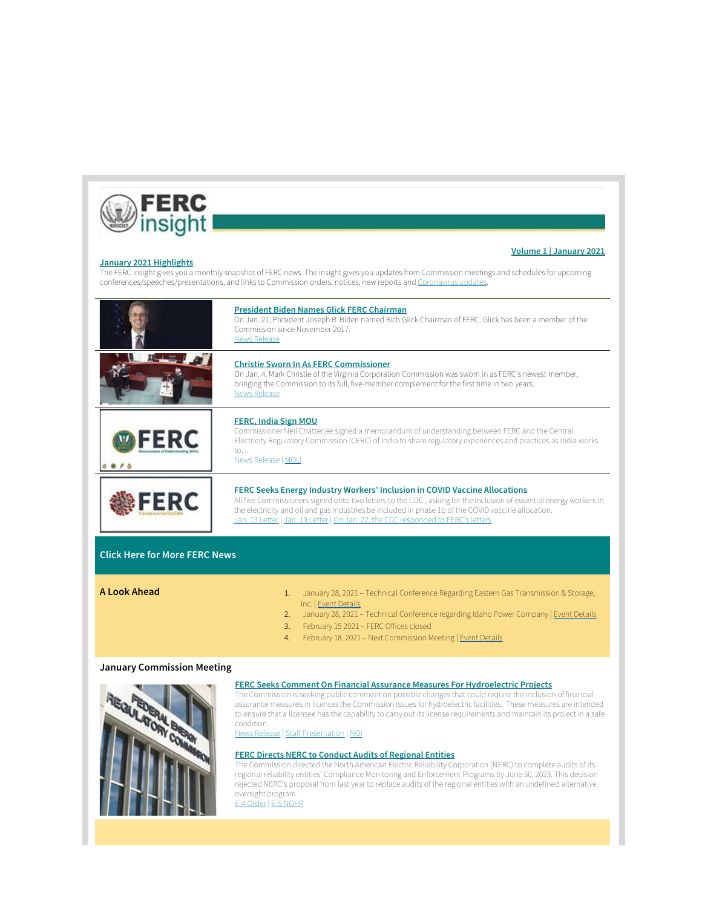

**Volume 1 | January 2021**

**January [2021 Highlights](https://www.ferc.gov/news-events/media/ferc-insight)** The FERC insight gives you a monthly snapshot of FERC news. The insight gives you updates from Commission meetings and schedules for upcoming conferences/speeches/presentations, and links to Commission orders, notices, new reports and [Coronavirus updates](https://www.ferc.gov/news-events/media/coronavirus).

|    | <b>President Biden Names Glick FERC Chairman</b><br>On Jan. 21, President Joseph R. Biden named Rich Glick Chairman of FERC. Glick has been a member of the<br>Commission since November 2017.<br><b>News Release</b>                                                                                                                                                                               |
|----|-----------------------------------------------------------------------------------------------------------------------------------------------------------------------------------------------------------------------------------------------------------------------------------------------------------------------------------------------------------------------------------------------------|
|    | <b>Christie Sworn In As FERC Commissioner</b><br>On Jan. 4, Mark Christie of the Virginia Corporation Commission was sworn in as FERC's newest member,<br>bringing the Commission to its full, five-member complement for the first time in two years.<br><b>News Release</b>                                                                                                                       |
| FR | <b>FERC, India Sign MOU</b><br>Commissioner Neil Chatterjee signed a memorandum of understanding between FERC and the Central<br>Electricity Regulatory Commission (CERC) of India to share regulatory experiences and practices as India works<br>$\mathsf{to} \dots$<br>News Release   MOU                                                                                                        |
|    | <b>FERC Seeks Energy Industry Workers' Inclusion in COVID Vaccine Allocations</b><br>All five Commissioners signed onto two letters to the CDC, asking for the inclusion of essential energy workers in<br>the electricity and oil and gas industries be included in phase 1b of the COVID vaccine allocation.<br>Jan. 13 Letter   Jan. 19 Letter   On Jan. 22, the CDC responded to FERC's letters |

## **[Click Here for More FERC News](https://www.ferc.gov/news-events/news/news-releases)**

- **A Look Ahead** 1. January 28, 2021 Technical Conference Regarding Eastern Gas Transmission & Storage, Inc. | [Event Details](https://www.ferc.gov/news-events/events/eastern-gas-transmission-storage-inc-docket-no-rp21-144-000-01282021)
	- 2. January 28, 2021 Technical Conference regarding Idaho Power Company | [Event Details](https://www.ferc.gov/news-events/events/technical-conference-regarding-idaho-power-company-01282021)
	- 3. February 15 2021 FERC Offices closed
	- 4. February 18, 2021 Next Commission Meeting | [Event Details](https://www.ferc.gov/news-events/events/february-18-2021-open-meeting-02182021)

## **January Commission Meeting**

**GULATOR BOOM** 



The Commission is seeking public comment on possible changes that could require the inclusion of financial assurance measures in licenses the Commission issues for hydroelectric facilities. These measures are intended to ensure that a licensee has the capability to carry out its license requirements and maintain its project in a safe condition.

[News Release](https://www.ferc.gov/news-events/news/ferc-seeks-comment-financial-assurance-measures-hydroelectric-projects) | [Staff Presentation](https://www.ferc.gov/news-events/news/staff-presentation-financial-assurance-measures-hydroelectric-projects-rm21-9-000) | [NOI](https://www.ferc.gov/media/h-1-rm21-9-000)

## **[FERC Directs NERC to Conduct Audits of Regional Entities](https://www.ferc.gov/news-events/news/ferc-directs-nerc-conduct-audits-regional-entities)**

The Commission directed the North American Electric Reliability Corporation (NERC) to complete audits of its regional reliability entities' Compliance Monitoring and Enforcement Programs by June 30, 2023. This decision rejected NERC's proposal from last year to replace audits of the regional entities with an undefined alternative oversight program.

[E-4 Order](https://cms.ferc.gov/media/e-4-rr19-7-001) | [E-5 NOPR](https://www.ferc.gov/media/e-5-rm21-12-000)